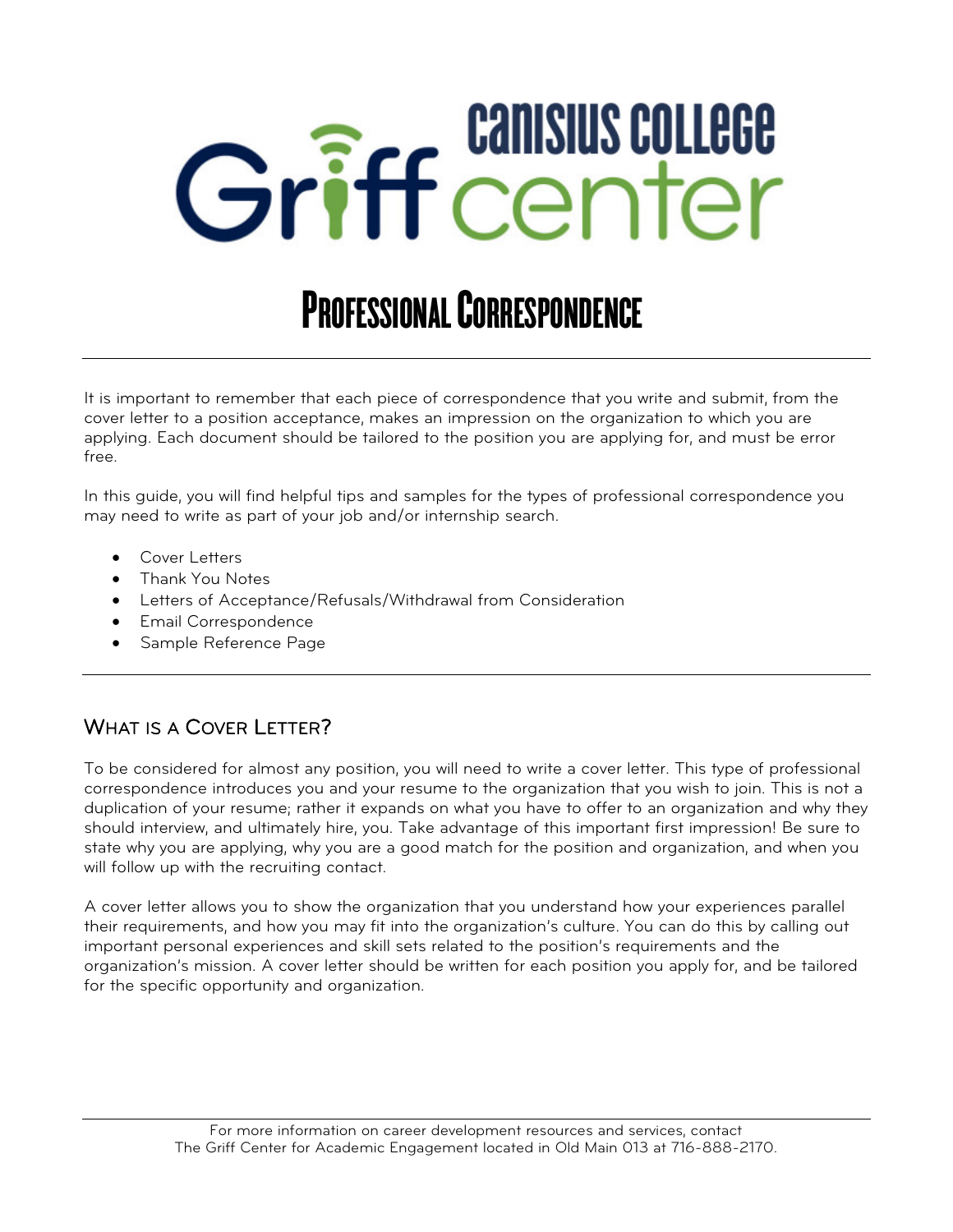# Griff center

# PROFESSIONAL CORRESPONDENCE

It is important to remember that each piece of correspondence that you write and submit, from the cover letter to a position acceptance, makes an impression on the organization to which you are applying. Each document should be tailored to the position you are applying for, and must be error free.

In this guide, you will find helpful tips and samples for the types of professional correspondence you may need to write as part of your job and/or internship search.

- Cover Letters
- Thank You Notes
- Letters of Acceptance/Refusals/Withdrawal from Consideration
- Email Correspondence
- Sample Reference Page

### WHAT IS A COVER LETTER?

To be considered for almost any position, you will need to write a cover letter. This type of professional correspondence introduces you and your resume to the organization that you wish to join. This is not a duplication of your resume; rather it expands on what you have to offer to an organization and why they should interview, and ultimately hire, you. Take advantage of this important first impression! Be sure to state why you are applying, why you are a good match for the position and organization, and when you will follow up with the recruiting contact.

A cover letter allows you to show the organization that you understand how your experiences parallel their requirements, and how you may fit into the organization's culture. You can do this by calling out important personal experiences and skill sets related to the position's requirements and the organization's mission. A cover letter should be written for each position you apply for, and be tailored for the specific opportunity and organization.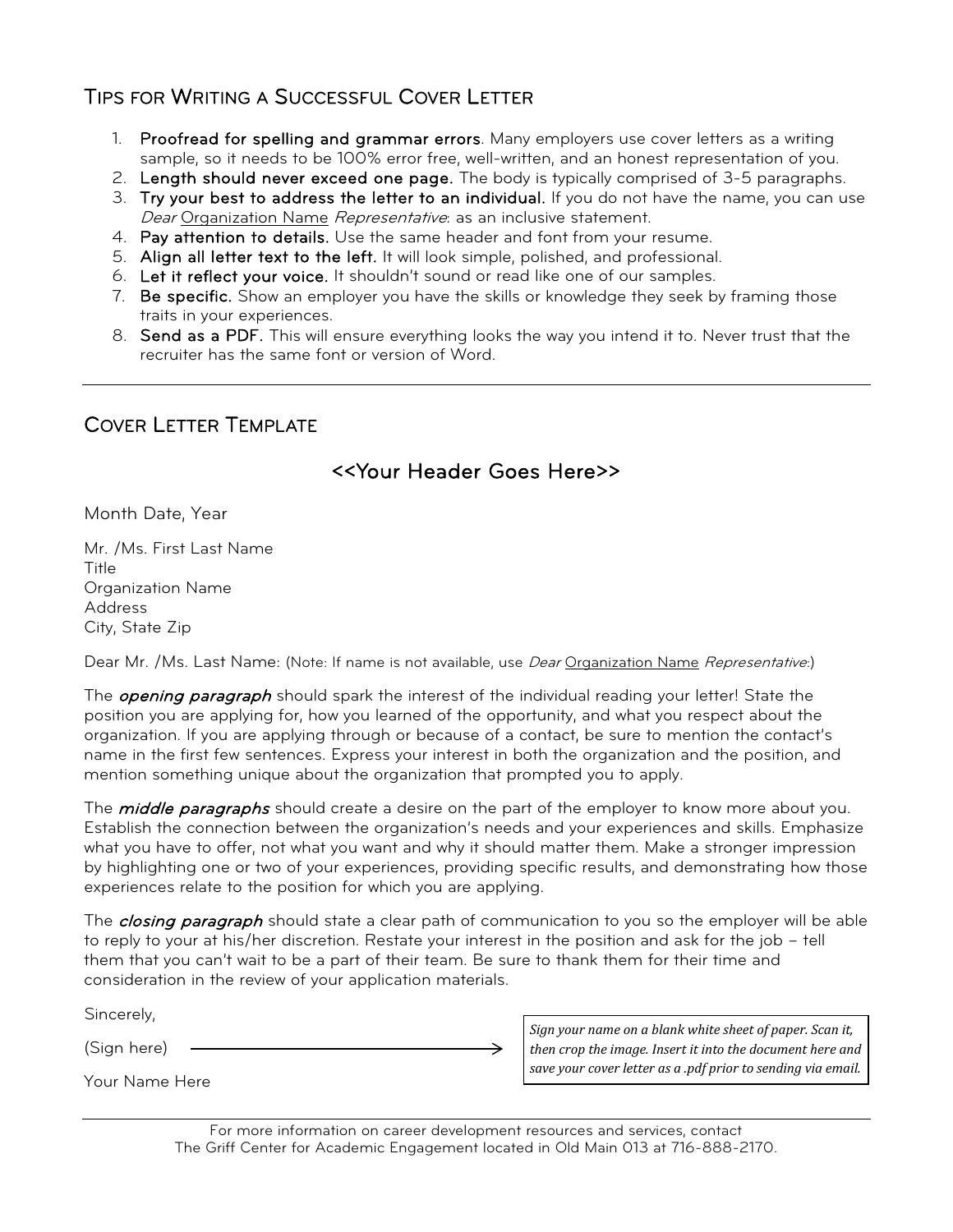#### TIPS FOR WRITING A SUCCESSFUL COVER LETTER

- 1. Proofread for spelling and grammar errors. Many employers use cover letters as a writing sample, so it needs to be 100% error free, well-written, and an honest representation of you.
- 2. Length should never exceed one page. The body is typically comprised of 3-5 paragraphs.
- 3. Try your best to address the letter to an individual. If you do not have the name, you can use Dear Organization Name *Representative*: as an inclusive statement.
- 4. Pay attention to details. Use the same header and font from your resume.
- 5. Align all letter text to the left. It will look simple, polished, and professional.
- 6. Let it reflect your voice. It shouldn't sound or read like one of our samples.
- 7. Be specific. Show an employer you have the skills or knowledge they seek by framing those traits in your experiences.
- 8. Send as a PDF. This will ensure everything looks the way you intend it to. Never trust that the recruiter has the same font or version of Word.

#### COVER LETTER TEMPLATE

#### <<Your Header Goes Here>>

Month Date, Year

Mr. /Ms. First Last Name Title Organization Name Address City, State Zip

Dear Mr. /Ms. Last Name: (Note: If name is not available, use *Dear* Organization Name Representative:)

The *opening paragraph* should spark the interest of the individual reading your letter! State the position you are applying for, how you learned of the opportunity, and what you respect about the organization. If you are applying through or because of a contact, be sure to mention the contact's name in the first few sentences. Express your interest in both the organization and the position, and mention something unique about the organization that prompted you to apply.

The *middle paragraphs* should create a desire on the part of the employer to know more about you. Establish the connection between the organization's needs and your experiences and skills. Emphasize what you have to offer, not what you want and why it should matter them. Make a stronger impression by highlighting one or two of your experiences, providing specific results, and demonstrating how those experiences relate to the position for which you are applying.

The *closing paragraph* should state a clear path of communication to you so the employer will be able to reply to your at his/her discretion. Restate your interest in the position and ask for the job – tell them that you can't wait to be a part of their team. Be sure to thank them for their time and consideration in the review of your application materials.

Sincerely,

(Sign here)

Your Name Here

*Sign your name on a blank white sheet of paper. Scan it, then crop the image. Insert it into the document here and save your cover letter as a .pdf prior to sending via email.* 

For more information on career development resources and services, contact The Griff Center for Academic Engagement located in Old Main 013 at 716-888-2170.

→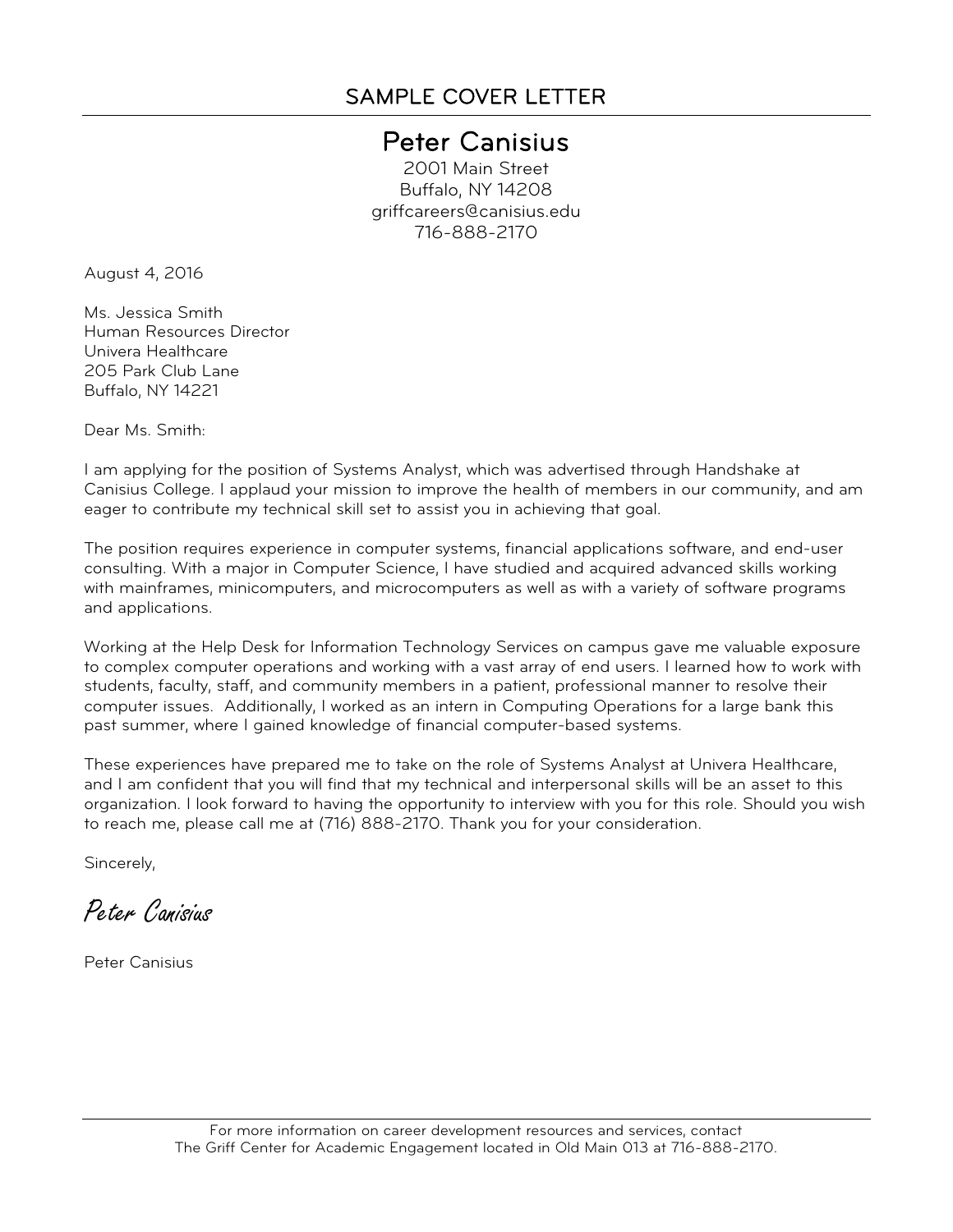## Peter Canisius<br>2001 Main Street

Buffalo, NY 14208 griffcareers@canisius.edu 716-888-2170

August 4, 2016

Ms. Jessica Smith Human Resources Director Univera Healthcare 205 Park Club Lane Buffalo, NY 14221

Dear Ms. Smith:

I am applying for the position of Systems Analyst, which was advertised through Handshake at Canisius College. I applaud your mission to improve the health of members in our community, and am eager to contribute my technical skill set to assist you in achieving that goal.

The position requires experience in computer systems, financial applications software, and end-user consulting. With a major in Computer Science, I have studied and acquired advanced skills working with mainframes, minicomputers, and microcomputers as well as with a variety of software programs and applications.

Working at the Help Desk for Information Technology Services on campus gave me valuable exposure to complex computer operations and working with a vast array of end users. I learned how to work with students, faculty, staff, and community members in a patient, professional manner to resolve their computer issues. Additionally, I worked as an intern in Computing Operations for a large bank this past summer, where I gained knowledge of financial computer-based systems.

These experiences have prepared me to take on the role of Systems Analyst at Univera Healthcare, and I am confident that you will find that my technical and interpersonal skills will be an asset to this organization. I look forward to having the opportunity to interview with you for this role. Should you wish to reach me, please call me at (716) 888-2170. Thank you for your consideration.

Sincerely,

Peter Canisius

Peter Canisius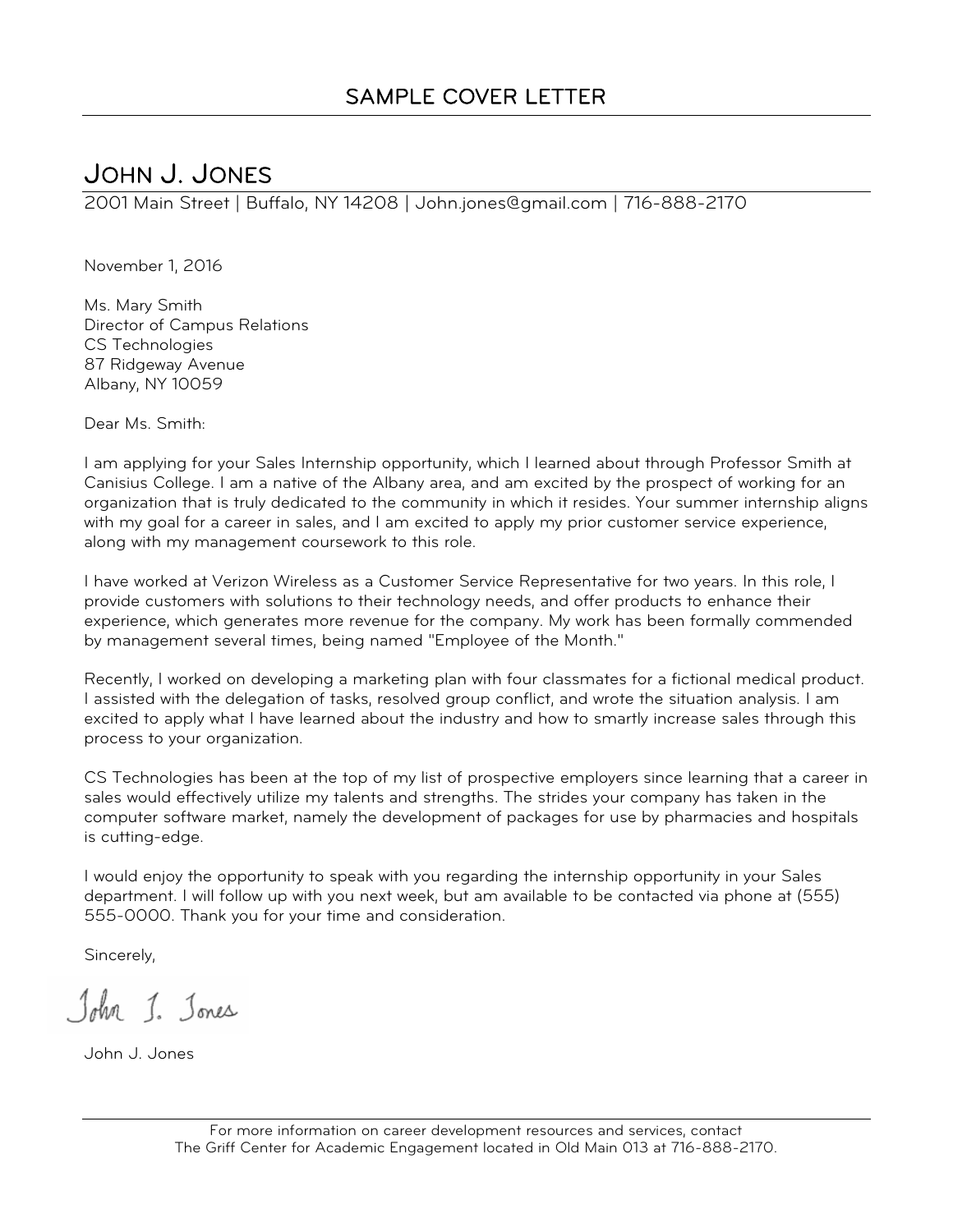JOHN J. JONES 2001 Main Street | Buffalo, NY 14208 | John.jones@gmail.com | 716-888-2170

November 1, 2016

Ms. Mary Smith Director of Campus Relations CS Technologies 87 Ridgeway Avenue Albany, NY 10059

Dear Ms. Smith:

I am applying for your Sales Internship opportunity, which I learned about through Professor Smith at Canisius College. I am a native of the Albany area, and am excited by the prospect of working for an organization that is truly dedicated to the community in which it resides. Your summer internship aligns with my goal for a career in sales, and I am excited to apply my prior customer service experience, along with my management coursework to this role.

I have worked at Verizon Wireless as a Customer Service Representative for two years. In this role, I provide customers with solutions to their technology needs, and offer products to enhance their experience, which generates more revenue for the company. My work has been formally commended by management several times, being named "Employee of the Month."

Recently, I worked on developing a marketing plan with four classmates for a fictional medical product. I assisted with the delegation of tasks, resolved group conflict, and wrote the situation analysis. I am excited to apply what I have learned about the industry and how to smartly increase sales through this process to your organization.

CS Technologies has been at the top of my list of prospective employers since learning that a career in sales would effectively utilize my talents and strengths. The strides your company has taken in the computer software market, namely the development of packages for use by pharmacies and hospitals is cutting-edge.

I would enjoy the opportunity to speak with you regarding the internship opportunity in your Sales department. I will follow up with you next week, but am available to be contacted via phone at (555) 555-0000. Thank you for your time and consideration.

Sincerely,

John J. Jones

John J. Jones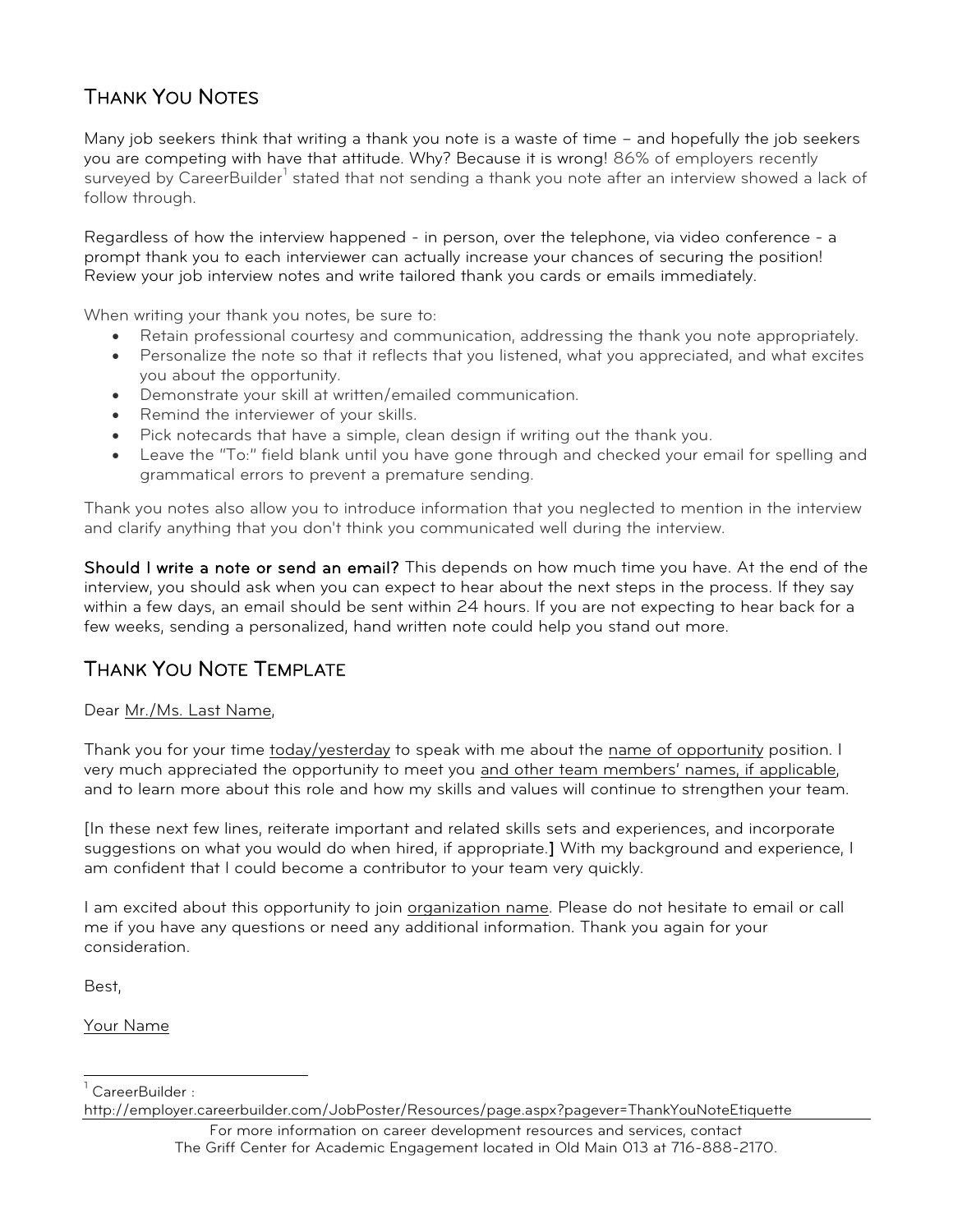## THANK YOU NOTES

Many job seekers think that writing a thank you note is a waste of time – and hopefully the job seekers you are competing with have that attitude. Why? Because it is wrong! 86% of employers recently surveyed by CareerBuilder<sup>[1](#page-6-0)</sup> stated that not sending a thank you note after an interview showed a lack of follow through.

Regardless of how the interview happened - in person, over the telephone, via video conference - a prompt thank you to each interviewer can actually increase your chances of securing the position! Review your job interview notes and write tailored thank you cards or emails immediately.

When writing your thank you notes, be sure to:

- Retain professional courtesy and communication, addressing the thank you note appropriately.
- Personalize the note so that it reflects that you listened, what you appreciated, and what excites you about the opportunity.
- Demonstrate your skill at written/emailed communication.
- Remind the interviewer of your skills.
- Pick notecards that have a simple, clean design if writing out the thank you.
- Leave the "To:" field blank until you have gone through and checked your email for spelling and grammatical errors to prevent a premature sending.

Thank you notes also allow you to introduce information that you neglected to mention in the interview and clarify anything that you don't think you communicated well during the interview.

Should I write a note or send an email? This depends on how much time you have. At the end of the interview, you should ask when you can expect to hear about the next steps in the process. If they say within a few days, an email should be sent within 24 hours. If you are not expecting to hear back for a few weeks, sending a personalized, hand written note could help you stand out more.

#### THANK YOU NOTE TEMPLATE

Dear Mr./Ms. Last Name,

Thank you for your time today/yesterday to speak with me about the name of opportunity position. I very much appreciated the opportunity to meet you and other team members' names, if applicable, and to learn more about this role and how my skills and values will continue to strengthen your team.

[In these next few lines, reiterate important and related skills sets and experiences, and incorporate suggestions on what you would do when hired, if appropriate.] With my background and experience, I am confident that I could become a contributor to your team very quickly.

I am excited about this opportunity to join organization name. Please do not hesitate to email or call me if you have any questions or need any additional information. Thank you again for your consideration.

Best,

Your Name

http://employer.careerbuilder.com/JobPoster/Resources/page.aspx?pagever=ThankYouNoteEtiquette

For more information on career development resources and services, contact The Griff Center for Academic Engagement located in Old Main 013 at 716-888-2170.

CareerBuilder :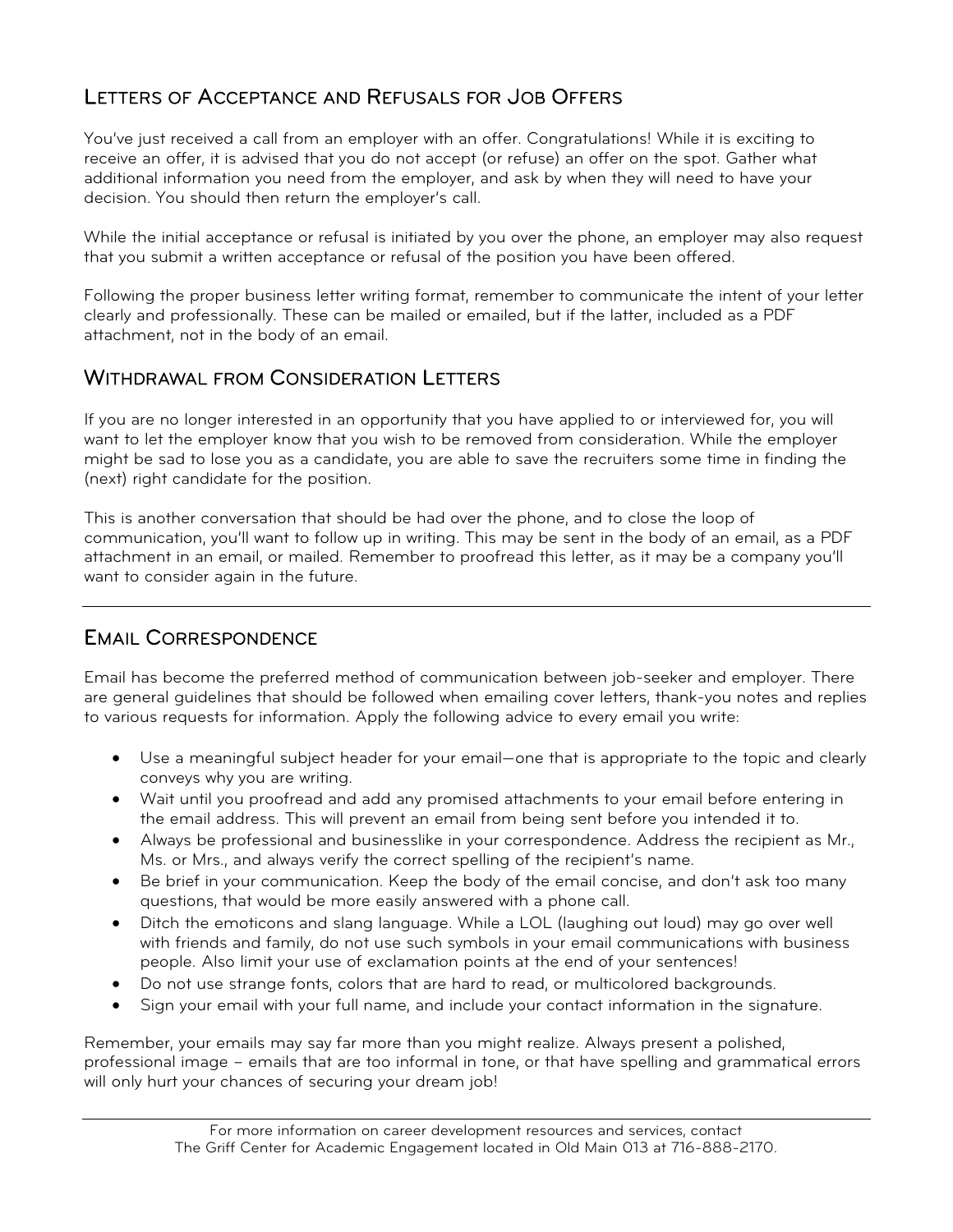### LETTERS OF ACCEPTANCE AND REFUSALS FOR JOB OFFERS

You've just received a call from an employer with an offer. Congratulations! While it is exciting to receive an offer, it is advised that you do not accept (or refuse) an offer on the spot. Gather what additional information you need from the employer, and ask by when they will need to have your decision. You should then return the employer's call.

While the initial acceptance or refusal is initiated by you over the phone, an employer may also request that you submit a written acceptance or refusal of the position you have been offered.

Following the proper business letter writing format, remember to communicate the intent of your letter clearly and professionally. These can be mailed or emailed, but if the latter, included as a PDF attachment, not in the body of an email.

#### WITHDRAWAL FROM CONSIDERATION LETTERS

If you are no longer interested in an opportunity that you have applied to or interviewed for, you will want to let the employer know that you wish to be removed from consideration. While the employer might be sad to lose you as a candidate, you are able to save the recruiters some time in finding the (next) right candidate for the position.

This is another conversation that should be had over the phone, and to close the loop of communication, you'll want to follow up in writing. This may be sent in the body of an email, as a PDF attachment in an email, or mailed. Remember to proofread this letter, as it may be a company you'll want to consider again in the future.

#### EMAIL CORRESPONDENCE

Email has become the preferred method of communication between job-seeker and employer. There are general guidelines that should be followed when emailing cover letters, thank-you notes and replies to various requests for information. Apply the following advice to every email you write:

- Use a meaningful subject header for your email—one that is appropriate to the topic and clearly conveys why you are writing.
- Wait until you proofread and add any promised attachments to your email before entering in the email address. This will prevent an email from being sent before you intended it to.
- Always be professional and businesslike in your correspondence. Address the recipient as Mr., Ms. or Mrs., and always verify the correct spelling of the recipient's name.
- Be brief in your communication. Keep the body of the email concise, and don't ask too many questions, that would be more easily answered with a phone call.
- Ditch the emoticons and slang language. While a LOL (laughing out loud) may go over well with friends and family, do not use such symbols in your email communications with business people. Also limit your use of exclamation points at the end of your sentences!
- Do not use strange fonts, colors that are hard to read, or multicolored backgrounds.
- Sign your email with your full name, and include your contact information in the signature.

Remember, your emails may say far more than you might realize. Always present a polished, professional image – emails that are too informal in tone, or that have spelling and grammatical errors will only hurt your chances of securing your dream job!